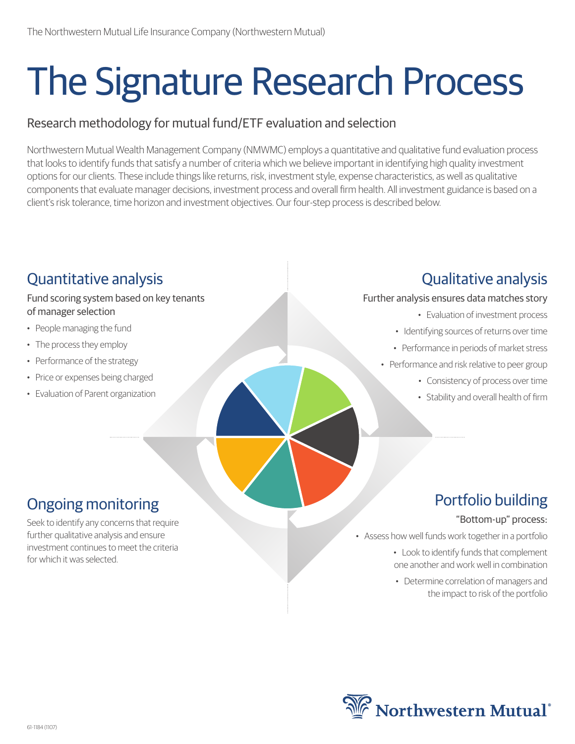# The Signature Research Process

#### Research methodology for mutual fund/ETF evaluation and selection

Northwestern Mutual Wealth Management Company (NMWMC) employs a quantitative and qualitative fund evaluation process that looks to identify funds that satisfy a number of criteria which we believe important in identifying high quality investment options for our clients. These include things like returns, risk, investment style, expense characteristics, as well as qualitative components that evaluate manager decisions, investment process and overall firm health. All investment guidance is based on a client's risk tolerance, time horizon and investment objectives. Our four-step process is described below.

#### Fund scoring system based on key tenants of manager selection • People managing the fund • The process they employ • Performance of the strategy • Price or expenses being charged • Evaluation of Parent organization Further analysis ensures data matches story • Evaluation of investment process • Identifying sources of returns over time • Performance in periods of market stress • Performance and risk relative to peer group • Consistency of process over time • Stability and overall health of firm

# Ongoing monitoring

Quantitative analysis

Seek to identify any concerns that require further qualitative analysis and ensure investment continues to meet the criteria for which it was selected.

#### Portfolio building

Qualitative analysis

#### "Bottom-up" process:

• Assess how well funds work together in a portfolio

- Look to identify funds that complement one another and work well in combination
- Determine correlation of managers and the impact to risk of the portfolio

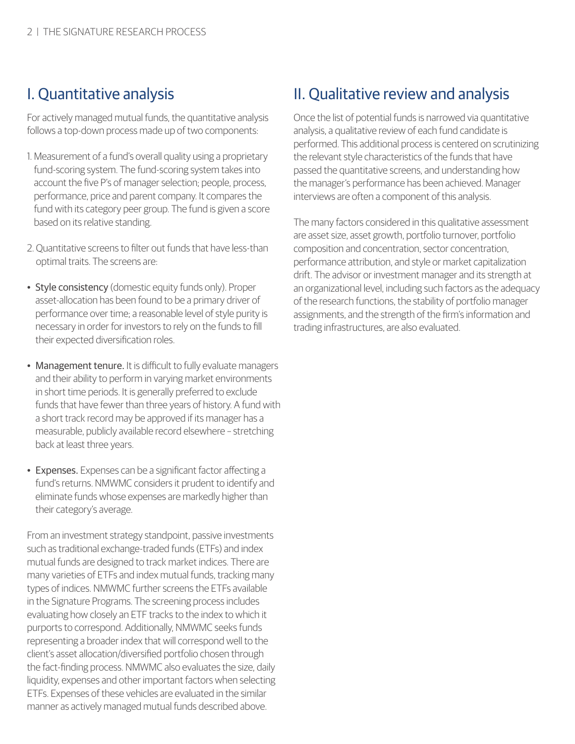## I. Quantitative analysis

For actively managed mutual funds, the quantitative analysis follows a top-down process made up of two components:

- 1. Measurement of a fund's overall quality using a proprietary fund-scoring system. The fund-scoring system takes into account the five P's of manager selection; people, process, performance, price and parent company. It compares the fund with its category peer group. The fund is given a score based on its relative standing.
- 2. Quantitative screens to filter out funds that have less-than optimal traits. The screens are:
- Style consistency (domestic equity funds only). Proper asset-allocation has been found to be a primary driver of performance over time; a reasonable level of style purity is necessary in order for investors to rely on the funds to fill their expected diversification roles.
- Management tenure. It is difficult to fully evaluate managers and their ability to perform in varying market environments in short time periods. It is generally preferred to exclude funds that have fewer than three years of history. A fund with a short track record may be approved if its manager has a measurable, publicly available record elsewhere – stretching back at least three years.
- Expenses. Expenses can be a significant factor affecting a fund's returns. NMWMC considers it prudent to identify and eliminate funds whose expenses are markedly higher than their category's average.

From an investment strategy standpoint, passive investments such as traditional exchange-traded funds (ETFs) and index mutual funds are designed to track market indices. There are many varieties of ETFs and index mutual funds, tracking many types of indices. NMWMC further screens the ETFs available in the Signature Programs. The screening process includes evaluating how closely an ETF tracks to the index to which it purports to correspond. Additionally, NMWMC seeks funds representing a broader index that will correspond well to the client's asset allocation/diversified portfolio chosen through the fact-finding process. NMWMC also evaluates the size, daily liquidity, expenses and other important factors when selecting ETFs. Expenses of these vehicles are evaluated in the similar manner as actively managed mutual funds described above.

#### II. Qualitative review and analysis

Once the list of potential funds is narrowed via quantitative analysis, a qualitative review of each fund candidate is performed. This additional process is centered on scrutinizing the relevant style characteristics of the funds that have passed the quantitative screens, and understanding how the manager's performance has been achieved. Manager interviews are often a component of this analysis.

The many factors considered in this qualitative assessment are asset size, asset growth, portfolio turnover, portfolio composition and concentration, sector concentration, performance attribution, and style or market capitalization drift. The advisor or investment manager and its strength at an organizational level, including such factors as the adequacy of the research functions, the stability of portfolio manager assignments, and the strength of the firm's information and trading infrastructures, are also evaluated.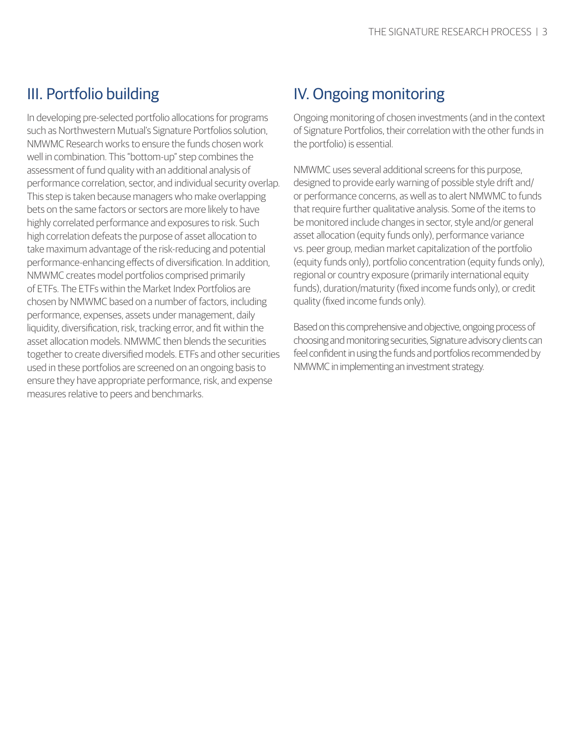## III. Portfolio building

In developing pre-selected portfolio allocations for programs such as Northwestern Mutual's Signature Portfolios solution, NMWMC Research works to ensure the funds chosen work well in combination. This "bottom-up" step combines the assessment of fund quality with an additional analysis of performance correlation, sector, and individual security overlap. This step is taken because managers who make overlapping bets on the same factors or sectors are more likely to have highly correlated performance and exposures to risk. Such high correlation defeats the purpose of asset allocation to take maximum advantage of the risk-reducing and potential performance-enhancing effects of diversification. In addition, NMWMC creates model portfolios comprised primarily of ETFs. The ETFs within the Market Index Portfolios are chosen by NMWMC based on a number of factors, including performance, expenses, assets under management, daily liquidity, diversification, risk, tracking error, and fit within the asset allocation models. NMWMC then blends the securities together to create diversified models. ETFs and other securities used in these portfolios are screened on an ongoing basis to ensure they have appropriate performance, risk, and expense measures relative to peers and benchmarks.

## IV. Ongoing monitoring

Ongoing monitoring of chosen investments (and in the context of Signature Portfolios, their correlation with the other funds in the portfolio) is essential.

NMWMC uses several additional screens for this purpose, designed to provide early warning of possible style drift and/ or performance concerns, as well as to alert NMWMC to funds that require further qualitative analysis. Some of the items to be monitored include changes in sector, style and/or general asset allocation (equity funds only), performance variance vs. peer group, median market capitalization of the portfolio (equity funds only), portfolio concentration (equity funds only), regional or country exposure (primarily international equity funds), duration/maturity (fixed income funds only), or credit quality (fixed income funds only).

Based on this comprehensive and objective, ongoing process of choosing and monitoring securities, Signature advisory clients can feel confident in using the funds and portfolios recommended by NMWMC in implementing an investment strategy.